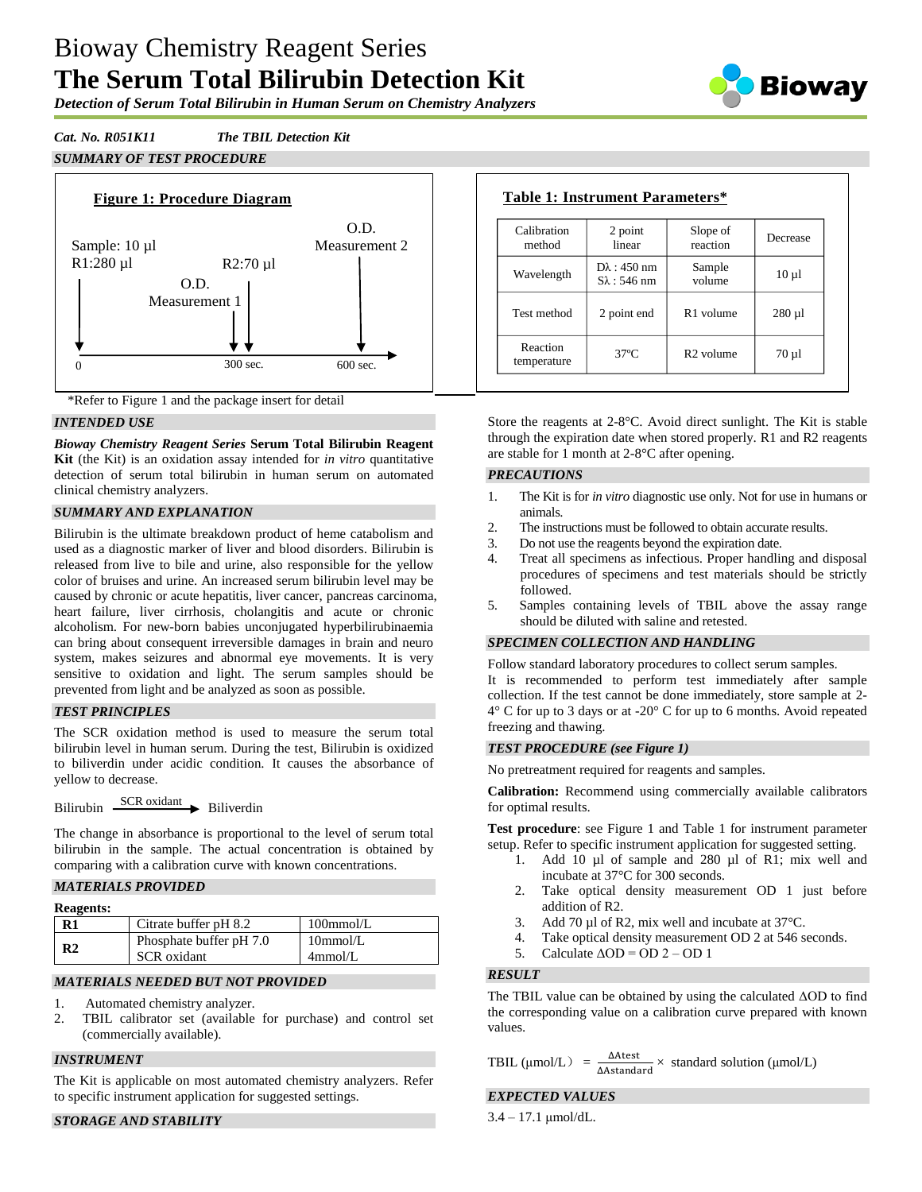# Bioway Chemistry Reagent Series **The Serum Total Bilirubin Detection Kit**



*Detection of Serum Total Bilirubin in Human Serum on Chemistry Analyzers*

*Cat. No. R051K11 The TBIL Detection Kit SUMMARY OF TEST PROCEDURE*



\*Refer to Figure 1 and the package insert for detail

# *INTENDED USE*

*Bioway Chemistry Reagent Series* **Serum Total Bilirubin Reagent Kit** (the Kit) is an oxidation assay intended for *in vitro* quantitative detection of serum total bilirubin in human serum on automated clinical chemistry analyzers.

## *SUMMARY AND EXPLANATION*

Bilirubin is the ultimate breakdown product of heme catabolism and used as a diagnostic marker of liver and blood disorders. Bilirubin is released from live to bile and urine, also responsible for the yellow color of bruises and urine. An increased serum bilirubin level may be caused by chronic or acute hepatitis, liver cancer, pancreas carcinoma, heart failure, liver cirrhosis, cholangitis and acute or chronic alcoholism. For new-born babies unconjugated hyperbilirubinaemia can bring about consequent irreversible damages in brain and neuro system, makes seizures and abnormal eye movements. It is very sensitive to oxidation and light. The serum samples should be prevented from light and be analyzed as soon as possible.

#### *TEST PRINCIPLES*

The SCR oxidation method is used to measure the serum total bilirubin level in human serum. During the test, Bilirubin is oxidized to biliverdin under acidic condition. It causes the absorbance of yellow to decrease.

Bilirubin  $\frac{\text{SCR oxidation}}{\text{D}}$  Biliverdin

The change in absorbance is proportional to the level of serum total bilirubin in the sample. The actual concentration is obtained by comparing with a calibration curve with known concentrations.

# *MATERIALS PROVIDED*

#### **Reagents:**

| $\mathbf{R}1$  | Citrate buffer pH 8.2   | $100$ mmol/L |
|----------------|-------------------------|--------------|
|                | Phosphate buffer pH 7.0 | $10$ mmol/L  |
| R <sub>2</sub> | SCR oxidant             | 4mmol/L      |

#### *MATERIALS NEEDED BUT NOT PROVIDED*

- 1. Automated chemistry analyzer.
- 2. TBIL calibrator set (available for purchase) and control set (commercially available).

### *INSTRUMENT*

The Kit is applicable on most automated chemistry analyzers. Refer to specific instrument application for suggested settings.

#### *STORAGE AND STABILITY*

| Calibration<br>method   | 2 point<br>linear                             | Slope of<br>reaction  | Decrease    |
|-------------------------|-----------------------------------------------|-----------------------|-------------|
| Wavelength              | $D\lambda$ : 450 nm<br>$S_{\lambda}$ : 546 nm | Sample<br>volume      | $10 \mu l$  |
| Test method             | 2 point end                                   | R <sub>1</sub> volume | $280 \mu l$ |
| Reaction<br>temperature | $37^\circ$ C                                  | R <sub>2</sub> volume | $70 \mu$ 1  |

Store the reagents at 2-8°C. Avoid direct sunlight. The Kit is stable through the expiration date when stored properly. R1 and R2 reagents are stable for 1 month at 2-8°C after opening.

## *PRECAUTIONS*

- 1. The Kit is for *in vitro* diagnostic use only. Not for use in humans or animals.
- 2. The instructions must be followed to obtain accurate results.
- 3. Do not use the reagents beyond the expiration date.
- 4. Treat all specimens as infectious. Proper handling and disposal procedures of specimens and test materials should be strictly followed.
- 5. Samples containing levels of TBIL above the assay range should be diluted with saline and retested.

#### *SPECIMEN COLLECTION AND HANDLING*

Follow standard laboratory procedures to collect serum samples. It is recommended to perform test immediately after sample collection. If the test cannot be done immediately, store sample at 2-  $4^{\circ}$  C for up to 3 days or at -20 $^{\circ}$  C for up to 6 months. Avoid repeated freezing and thawing.

#### *TEST PROCEDURE (see Figure 1)*

No pretreatment required for reagents and samples.

**Calibration:** Recommend using commercially available calibrators for optimal results.

**Test procedure**: see Figure 1 and Table 1 for instrument parameter setup. Refer to specific instrument application for suggested setting.

- 1. Add 10 µl of sample and 280 µl of R1; mix well and incubate at 37°C for 300 seconds.
- 2. Take optical density measurement OD 1 just before addition of R2.
- 3. Add 70 µl of R2, mix well and incubate at 37 °C.
- 4. Take optical density measurement OD 2 at 546 seconds.
- 5. Calculate  $\triangle$ OD = OD 2 OD 1

#### *RESULT*

The TBIL value can be obtained by using the calculated ΔOD to find the corresponding value on a calibration curve prepared with known values.

TBIL ( $\mu$ mol/L) =  $\frac{\Delta A \text{ test}}{\Delta A \text{ standard}} \times$  standard solution ( $\mu$ mol/L) ΔAtest

# *EXPECTED VALUES*

 $3.4 - 17.1 \mu$ mol/dL.